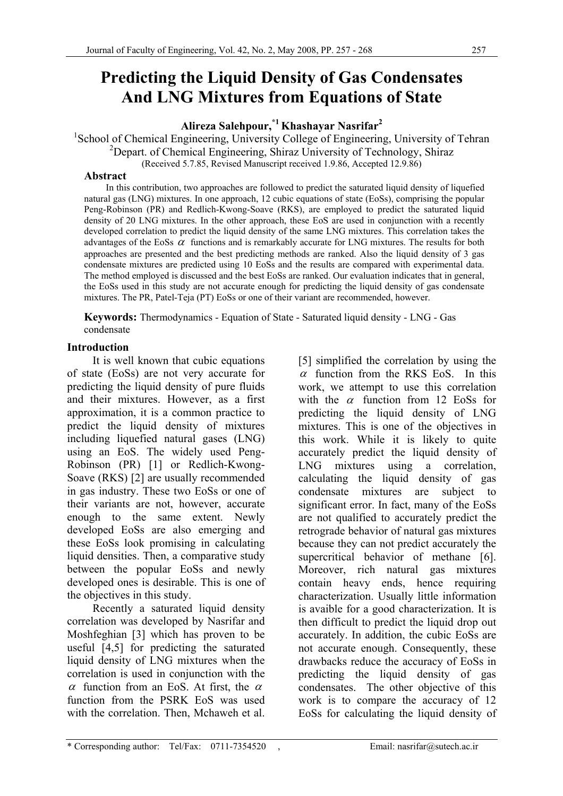# **Predicting the Liquid Density of Gas Condensates And LNG Mixtures from Equations of State**

**Alireza Salehpour,\*1 Khashayar Nasrifar2**

<sup>1</sup>School of Chemical Engineering, University College of Engineering, University of Tehran <sup>2</sup>Depart. of Chemical Engineering, Shiraz University of Technology, Shiraz

(Received 5.7.85, Revised Manuscript received 1.9.86, Accepted 12.9.86)

#### **Abstract**

 In this contribution, two approaches are followed to predict the saturated liquid density of liquefied natural gas (LNG) mixtures. In one approach, 12 cubic equations of state (EoSs), comprising the popular Peng-Robinson (PR) and Redlich-Kwong-Soave (RKS), are employed to predict the saturated liquid density of 20 LNG mixtures. In the other approach, these EoS are used in conjunction with a recently developed correlation to predict the liquid density of the same LNG mixtures. This correlation takes the advantages of the EoSs  $\alpha$  functions and is remarkably accurate for LNG mixtures. The results for both approaches are presented and the best predicting methods are ranked. Also the liquid density of 3 gas condensate mixtures are predicted using 10 EoSs and the results are compared with experimental data. The method employed is discussed and the best EoSs are ranked. Our evaluation indicates that in general, the EoSs used in this study are not accurate enough for predicting the liquid density of gas condensate mixtures. The PR, Patel-Teja (PT) EoSs or one of their variant are recommended, however.

**Keywords:** Thermodynamics - Equation of State - Saturated liquid density - LNG - Gas condensate

# **Introduction**

 It is well known that cubic equations of state (EoSs) are not very accurate for predicting the liquid density of pure fluids and their mixtures. However, as a first approximation, it is a common practice to predict the liquid density of mixtures including liquefied natural gases (LNG) using an EoS. The widely used Peng-Robinson (PR) [1] or Redlich-Kwong-Soave (RKS) [2] are usually recommended in gas industry. These two EoSs or one of their variants are not, however, accurate enough to the same extent. Newly developed EoSs are also emerging and these EoSs look promising in calculating liquid densities. Then, a comparative study between the popular EoSs and newly developed ones is desirable. This is one of the objectives in this study.

 Recently a saturated liquid density correlation was developed by Nasrifar and Moshfeghian [3] which has proven to be useful [4,5] for predicting the saturated liquid density of LNG mixtures when the correlation is used in conjunction with the α function from an EoS. At first, the  $α$ function from the PSRK EoS was used with the correlation. Then, Mchaweh et al.

[5] simplified the correlation by using the  $\alpha$  function from the RKS EoS. In this work, we attempt to use this correlation with the  $\alpha$  function from 12 EoSs for predicting the liquid density of LNG mixtures. This is one of the objectives in this work. While it is likely to quite accurately predict the liquid density of LNG mixtures using a correlation, calculating the liquid density of gas condensate mixtures are subject to significant error. In fact, many of the EoSs are not qualified to accurately predict the retrograde behavior of natural gas mixtures because they can not predict accurately the supercritical behavior of methane [6]. Moreover, rich natural gas mixtures contain heavy ends, hence requiring characterization. Usually little information is avaible for a good characterization. It is then difficult to predict the liquid drop out accurately. In addition, the cubic EoSs are not accurate enough. Consequently, these drawbacks reduce the accuracy of EoSs in predicting the liquid density of gas condensates. The other objective of this work is to compare the accuracy of 12 EoSs for calculating the liquid density of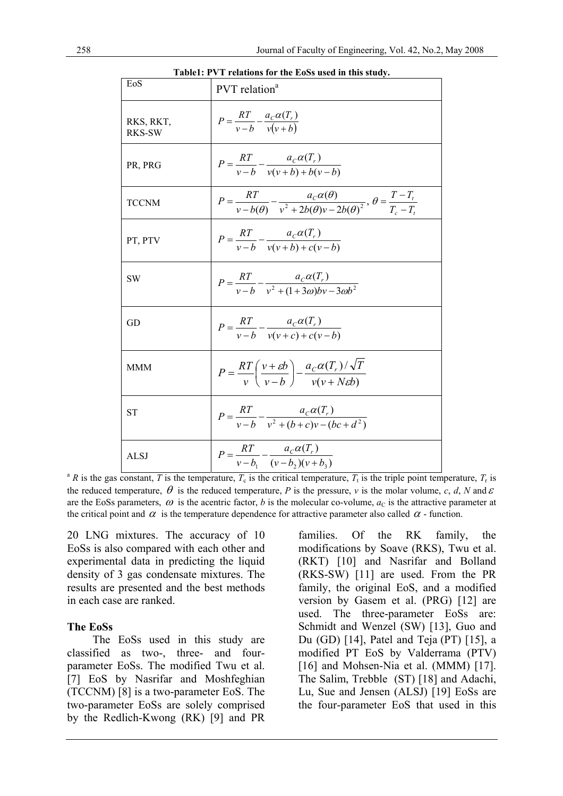**Table1: PVT relations for the EoSs used in this study.** 

| EoS                        | $\mathfrak{g}$ relativity for the E03s used in this study.<br>PVT relation <sup>a</sup>                                            |
|----------------------------|------------------------------------------------------------------------------------------------------------------------------------|
| RKS, RKT,<br><b>RKS-SW</b> | $P = \frac{RT}{v-b} - \frac{a_c \alpha(T_r)}{v(v+b)}$                                                                              |
| PR, PRG                    | $P = \frac{RT}{v-b} - \frac{a_c \alpha(T_r)}{v(v+b) + b(v-b)}$                                                                     |
| <b>TCCNM</b>               | $P = \frac{RT}{v - b(\theta)} - \frac{a_c \alpha(\theta)}{v^2 + 2b(\theta)v - 2b(\theta)^2}, \ \theta = \frac{T - T_t}{T_s - T_t}$ |
| PT, PTV                    | $P = \frac{RT}{v-b} - \frac{a_c \alpha(T_r)}{v(v+b) + c(v-b)}$                                                                     |
| <b>SW</b>                  | $P = \frac{RT}{v - b} - \frac{a_c \alpha(T_r)}{v^2 + (1 + 3\omega)bv - 3\omega b^2}$                                               |
| GD                         | $P = \frac{RT}{v-b} - \frac{a_c \alpha(T_r)}{v(v+c) + c(v-b)}$                                                                     |
| <b>MMM</b>                 | $P = \frac{RT}{v} \left( \frac{v + \varepsilon b}{v - b} \right) - \frac{a_C \alpha(T_r)/\sqrt{T}}{v(v + N \varepsilon b)}$        |
| <b>ST</b>                  | $P = \frac{RT}{v - b} - \frac{a_c \alpha(T_r)}{v^2 + (b + c)v - (bc + d^2)}$                                                       |
| <b>ALSJ</b>                | $P = \frac{RT}{v - b_1} - \frac{a_C \alpha(T_r)}{(v - b_2)(v + b_3)}$                                                              |

<sup>a</sup> *R* is the gas constant, *T* is the temperature,  $T_c$  is the critical temperature,  $T_t$  is the triple point temperature,  $T_r$  is the reduced temperature,  $\theta$  is the reduced temperature, *P* is the pressure, *v* is the molar volume, *c*, *d*, *N* and  $\varepsilon$ are the EoSs parameters,  $\omega$  is the acentric factor, *b* is the molecular co-volume,  $a<sub>C</sub>$  is the attractive parameter at the critical point and  $\alpha$  is the temperature dependence for attractive parameter also called  $\alpha$  - function.

20 LNG mixtures. The accuracy of 10 EoSs is also compared with each other and experimental data in predicting the liquid density of 3 gas condensate mixtures. The results are presented and the best methods in each case are ranked.

#### **The EoSs**

 The EoSs used in this study are classified as two-, three- and fourparameter EoSs. The modified Twu et al. [7] EoS by Nasrifar and Moshfeghian (TCCNM) [8] is a two-parameter EoS. The two-parameter EoSs are solely comprised by the Redlich-Kwong (RK) [9] and PR families. Of the RK family, the modifications by Soave (RKS), Twu et al. (RKT) [10] and Nasrifar and Bolland (RKS-SW) [11] are used. From the PR family, the original EoS, and a modified version by Gasem et al. (PRG) [12] are used. The three-parameter EoSs are: Schmidt and Wenzel (SW) [13], Guo and Du (GD) [14], Patel and Teja (PT) [15], a modified PT EoS by Valderrama (PTV) [16] and Mohsen-Nia et al. (MMM) [17]. The Salim, Trebble (ST) [18] and Adachi, Lu, Sue and Jensen (ALSJ) [19] EoSs are the four-parameter EoS that used in this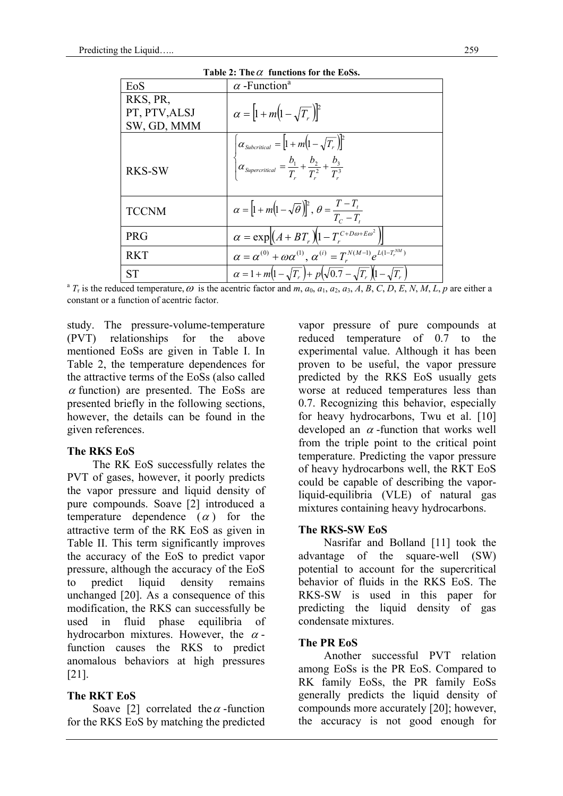| EoS           | $\alpha$ -Function <sup>a</sup>                                                                     |
|---------------|-----------------------------------------------------------------------------------------------------|
| RKS, PR,      |                                                                                                     |
| PT, PTV, ALSJ | $\alpha =  1 + m(1 - \sqrt{T_r}) ^2$                                                                |
| SW, GD, MMM   |                                                                                                     |
|               | $\alpha_{\text{Subcritical}} = [1 + m(1 - \sqrt{T_r})]^2$                                           |
| <b>RKS-SW</b> | $\int \alpha_{Supercritical} = \frac{b_1}{T} + \frac{b_2}{T^2} + \frac{b_3}{T^3}$                   |
| <b>TCCNM</b>  | $\alpha = \left[1 + m\left(1 - \sqrt{\theta}\right)\right]^2, \ \theta = \frac{T - T_t}{T_c - T_t}$ |
| <b>PRG</b>    | $\alpha = \exp[(A + BT_r)(1 - T_r^{C+Do+E\omega^2})]$                                               |
| <b>RKT</b>    | $\alpha = \alpha^{(0)} + \omega \alpha^{(1)}$ , $\alpha^{(i)} = T_r^{N(M-1)} e^{L(1-T_r^{NM})}$     |
| <b>ST</b>     | $\alpha = 1 + m(1 - \sqrt{T_r}) + p(\sqrt{0.7} - \sqrt{T_r})(1 - \sqrt{T_r})$                       |

**Table 2: The**α **functions for the EoSs.** 

<sup>a</sup>  $T_r$  is the reduced temperature,  $\omega$  is the acentric factor and  $m$ ,  $a_0$ ,  $a_1$ ,  $a_2$ ,  $a_3$ ,  $A$ ,  $B$ ,  $C$ ,  $D$ ,  $E$ ,  $N$ ,  $M$ ,  $L$ ,  $p$  are either a constant or a function of acentric factor.

study. The pressure-volume-temperature (PVT) relationships for the above mentioned EoSs are given in Table I. In Table 2, the temperature dependences for the attractive terms of the EoSs (also called  $\alpha$  function) are presented. The EoSs are presented briefly in the following sections, however, the details can be found in the given references.

#### **The RKS EoS**

 The RK EoS successfully relates the PVT of gases, however, it poorly predicts the vapor pressure and liquid density of pure compounds. Soave [2] introduced a temperature dependence  $(\alpha)$  for the attractive term of the RK EoS as given in Table II. This term significantly improves the accuracy of the EoS to predict vapor pressure, although the accuracy of the EoS to predict liquid density remains unchanged [20]. As a consequence of this modification, the RKS can successfully be used in fluid phase equilibria of hydrocarbon mixtures. However, the  $\alpha$ function causes the RKS to predict anomalous behaviors at high pressures [21].

# **The RKT EoS**

Soave [2] correlated the  $\alpha$ -function for the RKS EoS by matching the predicted

vapor pressure of pure compounds at reduced temperature of 0.7 to the experimental value. Although it has been proven to be useful, the vapor pressure predicted by the RKS EoS usually gets worse at reduced temperatures less than 0.7. Recognizing this behavior, especially for heavy hydrocarbons, Twu et al. [10] developed an  $\alpha$ -function that works well from the triple point to the critical point temperature. Predicting the vapor pressure of heavy hydrocarbons well, the RKT EoS could be capable of describing the vaporliquid-equilibria (VLE) of natural gas mixtures containing heavy hydrocarbons.

#### **The RKS-SW EoS**

 Nasrifar and Bolland [11] took the advantage of the square-well (SW) potential to account for the supercritical behavior of fluids in the RKS EoS. The RKS-SW is used in this paper for predicting the liquid density of gas condensate mixtures.

# **The PR EoS**

 Another successful PVT relation among EoSs is the PR EoS. Compared to RK family EoSs, the PR family EoSs generally predicts the liquid density of compounds more accurately [20]; however, the accuracy is not good enough for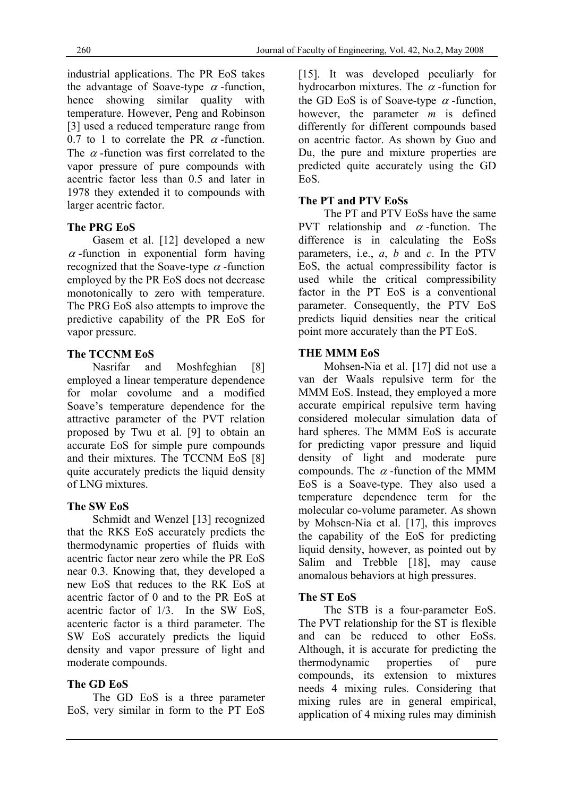industrial applications. The PR EoS takes the advantage of Soave-type  $\alpha$ -function, hence showing similar quality with temperature. However, Peng and Robinson [3] used a reduced temperature range from 0.7 to 1 to correlate the PR  $\alpha$ -function. The  $\alpha$ -function was first correlated to the vapor pressure of pure compounds with acentric factor less than 0.5 and later in 1978 they extended it to compounds with larger acentric factor.

# **The PRG EoS**

 Gasem et al. [12] developed a new  $\alpha$ -function in exponential form having recognized that the Soave-type  $\alpha$ -function employed by the PR EoS does not decrease monotonically to zero with temperature. The PRG EoS also attempts to improve the predictive capability of the PR EoS for vapor pressure.

# **The TCCNM EoS**

Nasrifar and Moshfeghian [8] employed a linear temperature dependence for molar covolume and a modified Soave's temperature dependence for the attractive parameter of the PVT relation proposed by Twu et al. [9] to obtain an accurate EoS for simple pure compounds and their mixtures. The TCCNM EoS [8] quite accurately predicts the liquid density of LNG mixtures.

# **The SW EoS**

 Schmidt and Wenzel [13] recognized that the RKS EoS accurately predicts the thermodynamic properties of fluids with acentric factor near zero while the PR EoS near 0.3. Knowing that, they developed a new EoS that reduces to the RK EoS at acentric factor of 0 and to the PR EoS at acentric factor of 1/3. In the SW EoS, acenteric factor is a third parameter. The SW EoS accurately predicts the liquid density and vapor pressure of light and moderate compounds.

# **The GD EoS**

 The GD EoS is a three parameter EoS, very similar in form to the PT EoS

[15]. It was developed peculiarly for hydrocarbon mixtures. The  $\alpha$ -function for the GD EoS is of Soave-type  $\alpha$ -function. however, the parameter *m* is defined differently for different compounds based on acentric factor. As shown by Guo and Du, the pure and mixture properties are predicted quite accurately using the GD EoS.

# **The PT and PTV EoSs**

 The PT and PTV EoSs have the same PVT relationship and  $\alpha$ -function. The difference is in calculating the EoSs parameters, i.e., *a*, *b* and *c*. In the PTV EoS, the actual compressibility factor is used while the critical compressibility factor in the PT EoS is a conventional parameter. Consequently, the PTV EoS predicts liquid densities near the critical point more accurately than the PT EoS.

#### **THE MMM EoS**

 Mohsen-Nia et al. [17] did not use a van der Waals repulsive term for the MMM EoS. Instead, they employed a more accurate empirical repulsive term having considered molecular simulation data of hard spheres. The MMM EoS is accurate for predicting vapor pressure and liquid density of light and moderate pure compounds. The  $\alpha$ -function of the MMM EoS is a Soave-type. They also used a temperature dependence term for the molecular co-volume parameter. As shown by Mohsen-Nia et al. [17], this improves the capability of the EoS for predicting liquid density, however, as pointed out by Salim and Trebble [18], may cause anomalous behaviors at high pressures.

# **The ST EoS**

 The STB is a four-parameter EoS. The PVT relationship for the ST is flexible and can be reduced to other EoSs. Although, it is accurate for predicting the thermodynamic properties of pure compounds, its extension to mixtures needs 4 mixing rules. Considering that mixing rules are in general empirical, application of 4 mixing rules may diminish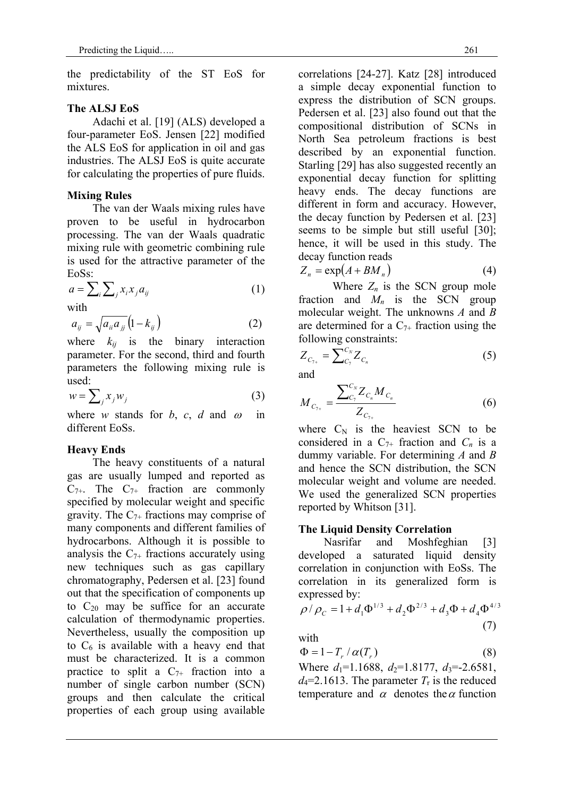the predictability of the ST EoS for mixtures.

#### **The ALSJ EoS**

 Adachi et al. [19] (ALS) developed a four-parameter EoS. Jensen [22] modified the ALS EoS for application in oil and gas industries. The ALSJ EoS is quite accurate for calculating the properties of pure fluids.

# **Mixing Rules**

 The van der Waals mixing rules have proven to be useful in hydrocarbon processing. The van der Waals quadratic mixing rule with geometric combining rule is used for the attractive parameter of the EoSs:

$$
a = \sum_{i} \sum_{j} x_i x_j a_{ij} \tag{1}
$$

with

$$
a_{ij} = \sqrt{a_{ii} a_{jj}} \left( 1 - k_{ij} \right) \tag{2}
$$

where  $k_{ij}$  is the binary interaction parameter. For the second, third and fourth parameters the following mixing rule is used:

$$
w = \sum_{j} x_{j} w_{j} \tag{3}
$$

where *w* stands for *b*, *c*, *d* and  $\omega$  in different EoSs.

# **Heavy Ends**

The heavy constituents of a natural gas are usually lumped and reported as  $C_{7+}$ . The  $C_{7+}$  fraction are commonly specified by molecular weight and specific gravity. The  $C_{7+}$  fractions may comprise of many components and different families of hydrocarbons. Although it is possible to analysis the  $C_{7+}$  fractions accurately using new techniques such as gas capillary chromatography, Pedersen et al. [23] found out that the specification of components up to  $C_{20}$  may be suffice for an accurate calculation of thermodynamic properties. Nevertheless, usually the composition up to  $C_6$  is available with a heavy end that must be characterized. It is a common practice to split a  $C_{7+}$  fraction into a number of single carbon number (SCN) groups and then calculate the critical properties of each group using available correlations [24-27]. Katz [28] introduced a simple decay exponential function to express the distribution of SCN groups. Pedersen et al. [23] also found out that the compositional distribution of SCNs in North Sea petroleum fractions is best described by an exponential function. Starling [29] has also suggested recently an exponential decay function for splitting heavy ends. The decay functions are different in form and accuracy. However, the decay function by Pedersen et al. [23] seems to be simple but still useful [30]; hence, it will be used in this study. The decay function reads

$$
Z_n = \exp(A + BM_n) \tag{4}
$$

Where  $Z_n$  is the SCN group mole fraction and  $M_n$  is the SCN group molecular weight. The unknowns *A* and *B* are determined for a  $C_{7+}$  fraction using the following constraints:

$$
Z_{C_{7+}} = \sum_{C_7}^{C_N} Z_{C_n} \tag{5}
$$

and

$$
M_{C_{7+}} = \frac{\sum_{C_7}^{C_N} Z_{C_n} M_{C_n}}{Z_{C_{7+}}} \tag{6}
$$

where  $C_N$  is the heaviest SCN to be considered in a  $C_{7+}$  fraction and  $C_n$  is a dummy variable. For determining *A* and *B* and hence the SCN distribution, the SCN molecular weight and volume are needed. We used the generalized SCN properties reported by Whitson [31].

#### **The Liquid Density Correlation**

Nasrifar and Moshfeghian [3] developed a saturated liquid density correlation in conjunction with EoSs. The correlation in its generalized form is expressed by:

$$
\rho/\rho_c = 1 + d_1 \Phi^{1/3} + d_2 \Phi^{2/3} + d_3 \Phi + d_4 \Phi^{4/3}
$$
\n(7)

with

$$
\Phi = 1 - T_r / \alpha(T_r) \tag{8}
$$

Where  $d_1$ =1.1688,  $d_2$ =1.8177,  $d_3$ =-2.6581,  $d_4$ =2.1613. The parameter  $T_r$  is the reduced temperature and  $\alpha$  denotes the  $\alpha$  function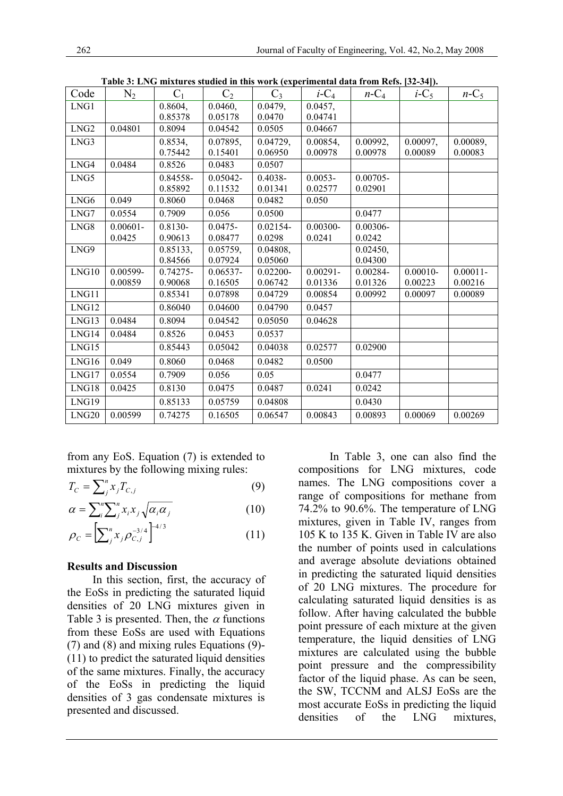|                   |             |             |            |             |                     |             | - - - - -           |             |
|-------------------|-------------|-------------|------------|-------------|---------------------|-------------|---------------------|-------------|
| Code              | $N_2$       | $C_1$       | $C_2$      | $C_3$       | $i$ -C <sub>4</sub> | $n-C_4$     | $i$ -C <sub>5</sub> | $n-C_5$     |
| LNG1              |             | 0.8604,     | 0.0460,    | 0.0479,     | 0.0457,             |             |                     |             |
|                   |             | 0.85378     | 0.05178    | 0.0470      | 0.04741             |             |                     |             |
| LNG <sub>2</sub>  | 0.04801     | 0.8094      | 0.04542    | 0.0505      | 0.04667             |             |                     |             |
| LNG3              |             | 0.8534,     | 0.07895,   | 0.04729,    | 0.00854.            | 0.00992,    | 0.00097,            | 0.00089,    |
|                   |             | 0.75442     | 0.15401    | 0.06950     | 0.00978             | 0.00978     | 0.00089             | 0.00083     |
| LNG4              | 0.0484      | 0.8526      | 0.0483     | 0.0507      |                     |             |                     |             |
| LNG5              |             | 0.84558-    | 0.05042-   | $0.4038 -$  | $0.0053 -$          | $0.00705 -$ |                     |             |
|                   |             | 0.85892     | 0.11532    | 0.01341     | 0.02577             | 0.02901     |                     |             |
| LNG6              | 0.049       | 0.8060      | 0.0468     | 0.0482      | 0.050               |             |                     |             |
| LNG7              | 0.0554      | 0.7909      | 0.056      | 0.0500      |                     | 0.0477      |                     |             |
| LNG8              | $0.00601 -$ | 0.8130-     | $0.0475 -$ | 0.02154-    | 0.00300-            | 0.00306-    |                     |             |
|                   | 0.0425      | 0.90613     | 0.08477    | 0.0298      | 0.0241              | 0.0242      |                     |             |
| LNG9              |             | 0.85133,    | 0.05759,   | 0.04808,    |                     | 0.02450,    |                     |             |
|                   |             | 0.84566     | 0.07924    | 0.05060     |                     | 0.04300     |                     |             |
| LNG10             | 0.00599-    | $0.74275 -$ | 0.06537-   | $0.02200 -$ | $0.00291 -$         | 0.00284-    | $0.00010 -$         | $0.00011 -$ |
|                   | 0.00859     | 0.90068     | 0.16505    | 0.06742     | 0.01336             | 0.01326     | 0.00223             | 0.00216     |
| LNG11             |             | 0.85341     | 0.07898    | 0.04729     | 0.00854             | 0.00992     | 0.00097             | 0.00089     |
| LNG12             |             | 0.86040     | 0.04600    | 0.04790     | 0.0457              |             |                     |             |
| LNG13             | 0.0484      | 0.8094      | 0.04542    | 0.05050     | 0.04628             |             |                     |             |
| LNG14             | 0.0484      | 0.8526      | 0.0453     | 0.0537      |                     |             |                     |             |
| LNG15             |             | 0.85443     | 0.05042    | 0.04038     | 0.02577             | 0.02900     |                     |             |
| LNG16             | 0.049       | 0.8060      | 0.0468     | 0.0482      | 0.0500              |             |                     |             |
| LNG17             | 0.0554      | 0.7909      | 0.056      | 0.05        |                     | 0.0477      |                     |             |
| LNG18             | 0.0425      | 0.8130      | 0.0475     | 0.0487      | 0.0241              | 0.0242      |                     |             |
| LNG19             |             | 0.85133     | 0.05759    | 0.04808     |                     | 0.0430      |                     |             |
| LNG <sub>20</sub> | 0.00599     | 0.74275     | 0.16505    | 0.06547     | 0.00843             | 0.00893     | 0.00069             | 0.00269     |

**Table 3: LNG mixtures studied in this work (experimental data from Refs. [32-34]).** 

from any EoS. Equation (7) is extended to mixtures by the following mixing rules:

$$
T_C = \sum_{j}^{n} x_j T_{C,j} \tag{9}
$$

$$
\alpha = \sum_{i}^{n} \sum_{j}^{n} x_{i} x_{j} \sqrt{\alpha_{i} \alpha_{j}}
$$
(10)

$$
\rho_C = \left[\sum_{j=1}^{n} x_j \rho_{C,j}^{-3/4}\right]^{4/3} \tag{11}
$$

#### **Results and Discussion**

 In this section, first, the accuracy of the EoSs in predicting the saturated liquid densities of 20 LNG mixtures given in Table 3 is presented. Then, the  $\alpha$  functions from these EoSs are used with Equations (7) and (8) and mixing rules Equations (9)- (11) to predict the saturated liquid densities of the same mixtures. Finally, the accuracy of the EoSs in predicting the liquid densities of 3 gas condensate mixtures is presented and discussed.

 In Table 3, one can also find the compositions for LNG mixtures, code names. The LNG compositions cover a range of compositions for methane from 74.2% to 90.6%. The temperature of LNG mixtures, given in Table IV, ranges from 105 K to 135 K. Given in Table IV are also the number of points used in calculations and average absolute deviations obtained in predicting the saturated liquid densities of 20 LNG mixtures. The procedure for calculating saturated liquid densities is as follow. After having calculated the bubble point pressure of each mixture at the given temperature, the liquid densities of LNG mixtures are calculated using the bubble point pressure and the compressibility factor of the liquid phase. As can be seen, the SW, TCCNM and ALSJ EoSs are the most accurate EoSs in predicting the liquid densities of the LNG mixtures,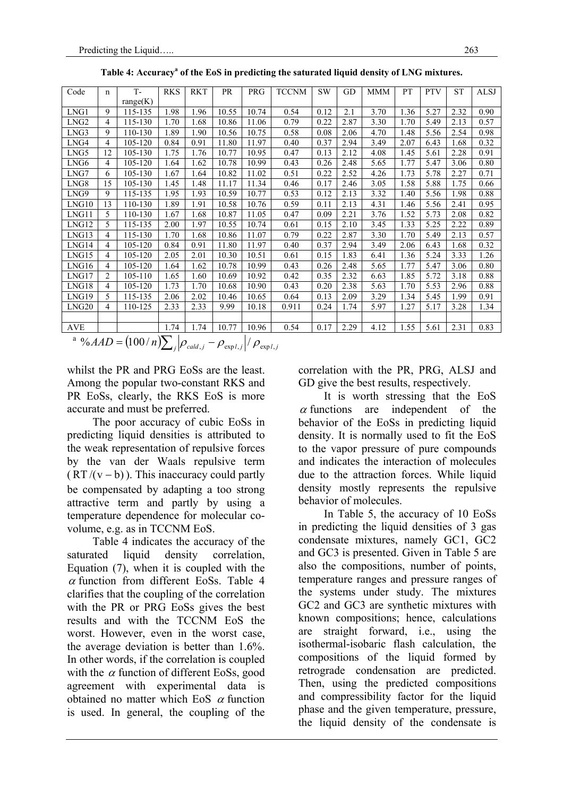| Code               | n              | $T -$            | <b>RKS</b> | <b>RKT</b> | PR    | PRG        | <b>TCCNM</b> | <b>SW</b> | GD   | MMM  | PT   | <b>PTV</b> | <b>ST</b> | <b>ALSJ</b> |
|--------------------|----------------|------------------|------------|------------|-------|------------|--------------|-----------|------|------|------|------------|-----------|-------------|
|                    |                | range(K)         |            |            |       |            |              |           |      |      |      |            |           |             |
| LNG1               | 9              | 115-135          | 1.98       | 1.96       | 10.55 | 10.74      | 0.54         | 0.12      | 2.1  | 3.70 | 1.36 | 5.27       | 2.32      | 0.90        |
| LNG <sub>2</sub>   | 4              | 115-130          | 1.70       | 1.68       | 10.86 | 11.06      | 0.79         | 0.22      | 2.87 | 3.30 | 1.70 | 5.49       | 2.13      | 0.57        |
| LNG3               | 9              | 110-130          | 1.89       | 1.90       | 10.56 | 10.75      | 0.58         | 0.08      | 2.06 | 4.70 | 1.48 | 5.56       | 2.54      | 0.98        |
| LNG4               | 4              | 105-120          | 0.84       | 0.91       | 11.80 | 11.97      | 0.40         | 0.37      | 2.94 | 3.49 | 2.07 | 6.43       | 1.68      | 0.32        |
| LNG5               | 12             | 105-130          | 1.75       | 1.76       | 10.77 | 10.95      | 0.47         | 0.13      | 2.12 | 4.08 | 1.45 | 5.61       | 2.28      | 0.91        |
| LNG6               | 4              | 105-120          | 1.64       | 1.62       | 10.78 | 10.99      | 0.43         | 0.26      | 2.48 | 5.65 | 1.77 | 5.47       | 3.06      | 0.80        |
| LNG7               | 6              | 105-130          | 1.67       | 1.64       | 10.82 | 11.02      | 0.51         | 0.22      | 2.52 | 4.26 | 1.73 | 5.78       | 2.27      | 0.71        |
| LNG8               | 15             | 105-130          | 1.45       | 1.48       | 11.17 | 11.34      | 0.46         | 0.17      | 2.46 | 3.05 | 1.58 | 5.88       | 1.75      | 0.66        |
| LNG9               | 9              | 115-135          | 1.95       | 1.93       | 10.59 | 10.77      | 0.53         | 0.12      | 2.13 | 3.32 | 1.40 | 5.56       | 1.98      | 0.88        |
| LNG10              | 13             | 110-130          | 1.89       | 1.91       | 10.58 | 10.76      | 0.59         | 0.11      | 2.13 | 4.31 | 1.46 | 5.56       | 2.41      | 0.95        |
| LNG11              | 5.             | 110-130          | 1.67       | 1.68       | 10.87 | 11.05      | 0.47         | 0.09      | 2.21 | 3.76 | 1.52 | 5.73       | 2.08      | 0.82        |
| LNG12              | 5.             | 115-135          | 2.00       | 1.97       | 10.55 | 10.74      | 0.61         | 0.15      | 2.10 | 3.45 | 1.33 | 5.25       | 2.22      | 0.89        |
| LNG13              | 4              | 115-130          | 1.70       | 1.68       | 10.86 | 11.07      | 0.79         | 0.22      | 2.87 | 3.30 | 1.70 | 5.49       | 2.13      | 0.57        |
| LNG14              | $\overline{4}$ | 105-120          | 0.84       | 0.91       | 11.80 | 11.97      | 0.40         | 0.37      | 2.94 | 3.49 | 2.06 | 6.43       | 1.68      | 0.32        |
| LNG15              | 4              | 105-120          | 2.05       | 2.01       | 10.30 | 10.51      | 0.61         | 0.15      | 1.83 | 6.41 | 1.36 | 5.24       | 3.33      | 1.26        |
| LNG16              | 4              | 105-120          | 1.64       | 1.62       | 10.78 | 10.99      | 0.43         | 0.26      | 2.48 | 5.65 | 1.77 | 5.47       | 3.06      | 0.80        |
| LNG17              | $\overline{2}$ | 105-110          | 1.65       | 1.60       | 10.69 | 10.92      | 0.42         | 0.35      | 2.32 | 6.63 | 1.85 | 5.72       | 3.18      | 0.88        |
| LNG18              | 4              | 105-120          | 1.73       | 1.70       | 10.68 | 10.90      | 0.43         | 0.20      | 2.38 | 5.63 | 1.70 | 5.53       | 2.96      | 0.88        |
| LNG19              | 5              | 115-135          | 2.06       | 2.02       | 10.46 | 10.65      | 0.64         | 0.13      | 2.09 | 3.29 | 1.34 | 5.45       | 1.99      | 0.91        |
| LNG <sub>20</sub>  | 4              | 110-125          | 2.33       | 2.33       | 9.99  | 10.18      | 0.911        | 0.24      | 1.74 | 5.97 | 1.27 | 5.17       | 3.28      | 1.34        |
|                    |                |                  |            |            |       |            |              |           |      |      |      |            |           |             |
| <b>AVE</b>         |                |                  | 1.74       | 1.74       | 10.77 | 10.96      | 0.54         | 0.17      | 2.29 | 4.12 | 1.55 | 5.61       | 2.31      | 0.83        |
| 30/11 <sub>D</sub> |                | $(100 \times N)$ |            |            |       | $\sqrt{ }$ |              |           |      |      |      |            |           |             |

Table 4: Accuracy<sup>a</sup> of the EoS in predicting the saturated liquid density of LNG mixtures.

 $a^{a}$  %  $AAD = (100/n) \sum_{i} \left| \rho_{\text{cald},j} - \rho_{\text{expl},j} \right| / \rho_{\text{expl},j}$ 

whilst the PR and PRG EoSs are the least. Among the popular two-constant RKS and PR EoSs, clearly, the RKS EoS is more accurate and must be preferred.

 The poor accuracy of cubic EoSs in predicting liquid densities is attributed to the weak representation of repulsive forces by the van der Waals repulsive term  $(RT/(v - b))$ . This inaccuracy could partly be compensated by adapting a too strong attractive term and partly by using a temperature dependence for molecular covolume, e.g. as in TCCNM EoS.

 Table 4 indicates the accuracy of the saturated liquid density correlation, Equation (7), when it is coupled with the  $\alpha$  function from different EoSs. Table 4 clarifies that the coupling of the correlation with the PR or PRG EoSs gives the best results and with the TCCNM EoS the worst. However, even in the worst case, the average deviation is better than 1.6%. In other words, if the correlation is coupled with the  $\alpha$  function of different EoSs, good agreement with experimental data is obtained no matter which EoS  $\alpha$  function is used. In general, the coupling of the

correlation with the PR, PRG, ALSJ and GD give the best results, respectively.

 It is worth stressing that the EoS  $\alpha$  functions are independent of the behavior of the EoSs in predicting liquid density. It is normally used to fit the EoS to the vapor pressure of pure compounds and indicates the interaction of molecules due to the attraction forces. While liquid density mostly represents the repulsive behavior of molecules.

 In Table 5, the accuracy of 10 EoSs in predicting the liquid densities of 3 gas condensate mixtures, namely GC1, GC2 and GC3 is presented. Given in Table 5 are also the compositions, number of points, temperature ranges and pressure ranges of the systems under study. The mixtures GC2 and GC3 are synthetic mixtures with known compositions; hence, calculations are straight forward, i.e., using the isothermal-isobaric flash calculation, the compositions of the liquid formed by retrograde condensation are predicted. Then, using the predicted compositions and compressibility factor for the liquid phase and the given temperature, pressure, the liquid density of the condensate is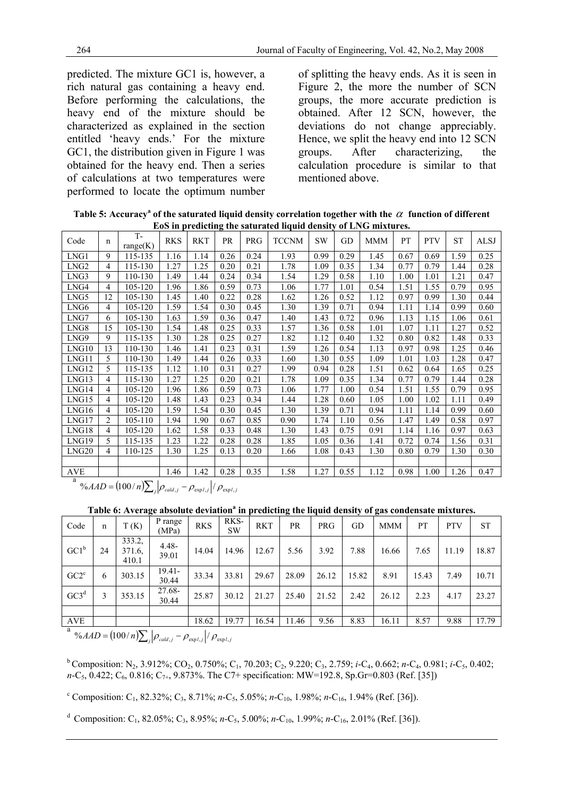predicted. The mixture GC1 is, however, a rich natural gas containing a heavy end. Before performing the calculations, the heavy end of the mixture should be characterized as explained in the section entitled 'heavy ends.' For the mixture GC1, the distribution given in Figure 1 was obtained for the heavy end. Then a series of calculations at two temperatures were performed to locate the optimum number of splitting the heavy ends. As it is seen in Figure 2, the more the number of SCN groups, the more accurate prediction is obtained. After 12 SCN, however, the deviations do not change appreciably. Hence, we split the heavy end into 12 SCN groups. After characterizing, the calculation procedure is similar to that mentioned above.

**Table 5: Accuracy<sup>a</sup> of the saturated liquid density correlation together with the**  $\alpha$  **function of different EoS in predicting the saturated liquid density of LNG mixtures.** 

|                  |                |                   |            |            |      |      | nos in preuteing the sucurated hydra density of his community. |      |      |            |      |            |           |             |
|------------------|----------------|-------------------|------------|------------|------|------|----------------------------------------------------------------|------|------|------------|------|------------|-----------|-------------|
| Code             | n              | $T -$<br>range(K) | <b>RKS</b> | <b>RKT</b> | PR   | PRG  | <b>TCCNM</b>                                                   | SW   | GD   | <b>MMM</b> | PT   | <b>PTV</b> | <b>ST</b> | <b>ALSJ</b> |
| LNG1             | 9              | 115-135           | 1.16       | 1.14       | 0.26 | 0.24 | 1.93                                                           | 0.99 | 0.29 | 1.45       | 0.67 | 0.69       | .59       | 0.25        |
| LNG <sub>2</sub> | 4              | 115-130           | 1.27       | 1.25       | 0.20 | 0.21 | 1.78                                                           | 1.09 | 0.35 | 1.34       | 0.77 | 0.79       | 1.44      | 0.28        |
| LNG3             | 9.             | 110-130           | 1.49       | 1.44       | 0.24 | 0.34 | 1.54                                                           | 1.29 | 0.58 | 1.10       | 1.00 | 1.01       | 1.21      | 0.47        |
| LNG4             | 4              | 105-120           | 1.96       | 1.86       | 0.59 | 0.73 | 1.06                                                           | 1.77 | 1.01 | 0.54       | 1.51 | 1.55       | 0.79      | 0.95        |
| LNG5             | 12             | 105-130           | 1.45       | 1.40       | 0.22 | 0.28 | 1.62                                                           | 1.26 | 0.52 | 1.12       | 0.97 | 0.99       | 1.30      | 0.44        |
| LNG6             | 4              | 105-120           | 1.59       | 1.54       | 0.30 | 0.45 | 1.30                                                           | 1.39 | 0.71 | 0.94       | 1.11 | 1.14       | 0.99      | 0.60        |
| LNG7             | 6              | 105-130           | 1.63       | 1.59       | 0.36 | 0.47 | 1.40                                                           | 1.43 | 0.72 | 0.96       | 1.13 | 1.15       | 1.06      | 0.61        |
| LNG8             | 15             | 105-130           | 1.54       | 1.48       | 0.25 | 0.33 | 1.57                                                           | 1.36 | 0.58 | 1.01       | 1.07 | 1.11       | 1.27      | 0.52        |
| LNG9             | 9              | 115-135           | 1.30       | 1.28       | 0.25 | 0.27 | 1.82                                                           | 1.12 | 0.40 | 1.32       | 0.80 | 0.82       | 1.48      | 0.33        |
| LNG10            | 13             | 110-130           | 1.46       | 1.41       | 0.23 | 0.31 | 1.59                                                           | 1.26 | 0.54 | 1.13       | 0.97 | 0.98       | 1.25      | 0.46        |
| LNG11            | 5              | 110-130           | 1.49       | 1.44       | 0.26 | 0.33 | 1.60                                                           | 1.30 | 0.55 | 1.09       | 1.01 | 1.03       | .28       | 0.47        |
| LNG12            | 5              | 115-135           | 1.12       | 1.10       | 0.31 | 0.27 | 1.99                                                           | 0.94 | 0.28 | 1.51       | 0.62 | 0.64       | 1.65      | 0.25        |
| LNG13            | 4              | 115-130           | 1.27       | 1.25       | 0.20 | 0.21 | 1.78                                                           | 1.09 | 0.35 | 1.34       | 0.77 | 0.79       | 1.44      | 0.28        |
| LNG14            | 4              | 105-120           | 1.96       | 1.86       | 0.59 | 0.73 | 1.06                                                           | 1.77 | 1.00 | 0.54       | 1.51 | 1.55       | 0.79      | 0.95        |
| LNG15            | 4              | 105-120           | 1.48       | 1.43       | 0.23 | 0.34 | 1.44                                                           | 1.28 | 0.60 | 1.05       | 1.00 | 1.02       | 1.11      | 0.49        |
| LNG16            | 4              | 105-120           | 1.59       | 1.54       | 0.30 | 0.45 | 1.30                                                           | 1.39 | 0.71 | 0.94       | 1.11 | 1.14       | 0.99      | 0.60        |
| LNG17            | 2              | 105-110           | 1.94       | 1.90       | 0.67 | 0.85 | 0.90                                                           | 1.74 | 1.10 | 0.56       | 1.47 | 1.49       | 0.58      | 0.97        |
| LNG18            | 4              | 105-120           | 1.62       | 1.58       | 0.33 | 0.48 | 1.30                                                           | 1.43 | 0.75 | 0.91       | 1.14 | 1.16       | 0.97      | 0.63        |
| LNG19            | 5              | 115-135           | 1.23       | 1.22       | 0.28 | 0.28 | 1.85                                                           | 1.05 | 0.36 | 1.41       | 0.72 | 0.74       | 1.56      | 0.31        |
| LNG20            | $\overline{4}$ | 110-125           | 1.30       | 1.25       | 0.13 | 0.20 | 1.66                                                           | 1.08 | 0.43 | 1.30       | 0.80 | 0.79       | 1.30      | 0.30        |
|                  |                |                   |            |            |      |      |                                                                |      |      |            |      |            |           |             |
| <b>AVE</b>       |                |                   | 1.46       | 1.42       | 0.28 | 0.35 | 1.58                                                           | 1.27 | 0.55 | 1.12       | 0.98 | 1.00       | 1.26      | 0.47        |

 $\frac{a}{\sqrt{AAD}} = (100/n) \sum_{j} \left| \rho_{\text{cald},j} - \rho_{\text{exp1},j} \right| / \rho_{\text{exp1},j}$ 

Table 6: Average absolute deviation<sup>a</sup> in predicting the liquid density of gas condensate mixtures.

| Code             | $\mathbf n$                                                                                                 | T(K)                      | P range<br>(MPa)   | <b>RKS</b> | RKS-<br><b>SW</b> | <b>RKT</b> | <b>PR</b> | PRG   | GD    | <b>MMM</b> | PT    | <b>PTV</b> | <b>ST</b> |
|------------------|-------------------------------------------------------------------------------------------------------------|---------------------------|--------------------|------------|-------------------|------------|-----------|-------|-------|------------|-------|------------|-----------|
| $GC1^b$          | 24                                                                                                          | 333.2,<br>371.6,<br>410.1 | $4.48 -$<br>39.01  | 14.04      | 14.96             | 12.67      | 5.56      | 3.92  | 7.88  | 16.66      | 7.65  | 11.19      | 18.87     |
| $GC2^c$          | 6                                                                                                           | 303.15                    | $19.41 -$<br>30.44 | 33.34      | 33.81             | 29.67      | 28.09     | 26.12 | 15.82 | 8.91       | 15.43 | 7.49       | 10.71     |
| GC3 <sup>d</sup> | 3                                                                                                           | 353.15                    | 27.68-<br>30.44    | 25.87      | 30.12             | 21.27      | 25.40     | 21.52 | 2.42  | 26.12      | 2.23  | 4.17       | 23.27     |
|                  |                                                                                                             |                           |                    |            |                   |            |           |       |       |            |       |            |           |
| AVE              |                                                                                                             |                           |                    | 18.62      | 19.77             | 16.54      | 11.46     | 9.56  | 8.83  | 16.11      | 8.57  | 9.88       | 17.79     |
| a                | $\%AAD = (100/n)\sum_{i} \left  \rho_{\text{cald},j} - \rho_{\text{expl},j} \right  / \rho_{\text{expl},j}$ |                           |                    |            |                   |            |           |       |       |            |       |            |           |

b Composition: N2, 3.912%; CO2, 0.750%; C1, 70.203; C2, 9.220; C3, 2.759; *i*-C4, 0.662; *n*-C4, 0.981; *i*-C5, 0.402; *n*-C<sub>5</sub>, 0.422; C<sub>6</sub>, 0.816; C<sub>7+</sub>, 9.873%. The C7+ specification: MW=192.8, Sp.Gr=0.803 (Ref. [35])

<sup>c</sup> Composition: C<sub>1</sub>, 82.32%; C<sub>3</sub>, 8.71%; *n*-C<sub>5</sub>, 5.05%; *n*-C<sub>10</sub>, 1.98%; *n*-C<sub>16</sub>, 1.94% (Ref. [36]).

d Composition: C1, 82.05%; C3, 8.95%; *n*-C5, 5.00%; *n*-C10, 1.99%; *n*-C16, 2.01% (Ref. [36]).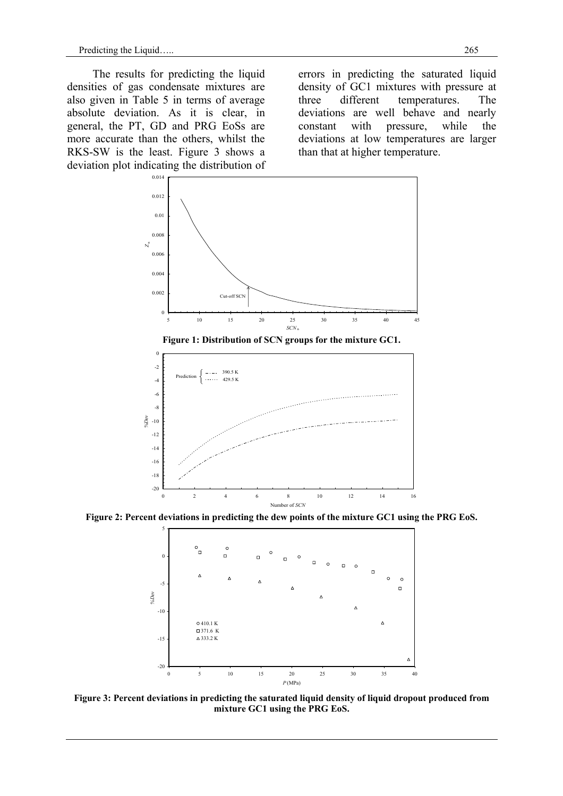The results for predicting the liquid densities of gas condensate mixtures are also given in Table 5 in terms of average absolute deviation. As it is clear, in general, the PT, GD and PRG EoSs are more accurate than the others, whilst the RKS-SW is the least. Figure 3 shows a deviation plot indicating the distribution of

errors in predicting the saturated liquid density of GC1 mixtures with pressure at three different temperatures. The deviations are well behave and nearly constant with pressure, while the deviations at low temperatures are larger than that at higher temperature.





**Figure 1: Distribution of SCN groups for the mixture GC1.** 

**Figure 2: Percent deviations in predicting the dew points of the mixture GC1 using the PRG EoS.** 



**Figure 3: Percent deviations in predicting the saturated liquid density of liquid dropout produced from mixture GC1 using the PRG EoS.**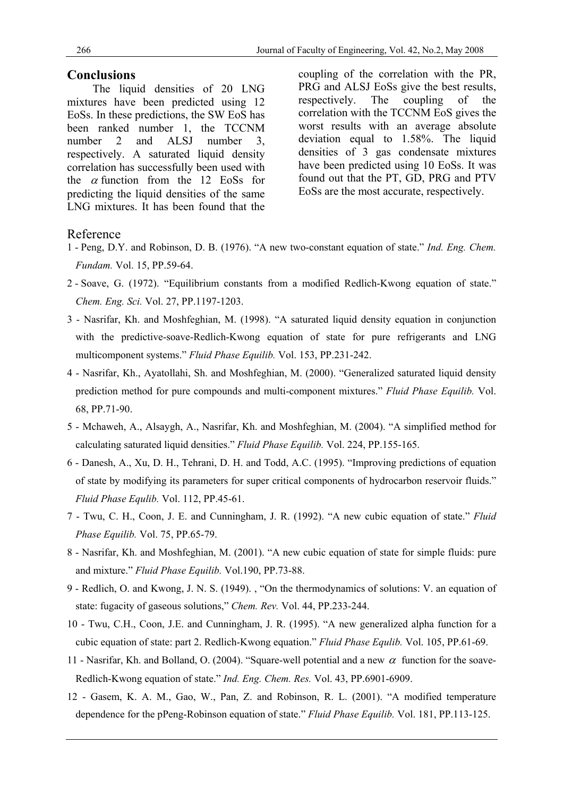#### **Conclusions**

 The liquid densities of 20 LNG mixtures have been predicted using 12 EoSs. In these predictions, the SW EoS has been ranked number 1, the TCCNM number 2 and ALSJ number 3. respectively. A saturated liquid density correlation has successfully been used with the  $\alpha$  function from the 12 EoSs for predicting the liquid densities of the same LNG mixtures. It has been found that the coupling of the correlation with the PR, PRG and ALSJ EoSs give the best results, respectively. The coupling of the correlation with the TCCNM EoS gives the worst results with an average absolute deviation equal to 1.58%. The liquid densities of 3 gas condensate mixtures have been predicted using 10 EoSs. It was found out that the PT, GD, PRG and PTV EoSs are the most accurate, respectively.

#### Reference

- 1 Peng, D.Y. and Robinson, D. B. (1976). "A new two-constant equation of state." *Ind. Eng. Chem. Fundam.* Vol. 15, PP.59-64.
- 2 Soave, G. (1972). "Equilibrium constants from a modified Redlich-Kwong equation of state." *Chem. Eng. Sci.* Vol. 27, PP.1197-1203.
- 3 Nasrifar, Kh. and Moshfeghian, M. (1998). "A saturated liquid density equation in conjunction with the predictive-soave-Redlich-Kwong equation of state for pure refrigerants and LNG multicomponent systems." *Fluid Phase Equilib.* Vol. 153, PP.231-242.
- 4 Nasrifar, Kh., Ayatollahi, Sh. and Moshfeghian, M. (2000). "Generalized saturated liquid density prediction method for pure compounds and multi-component mixtures." *Fluid Phase Equilib.* Vol. 68, PP.71-90.
- 5 Mchaweh, A., Alsaygh, A., Nasrifar, Kh. and Moshfeghian, M. (2004). "A simplified method for calculating saturated liquid densities." *Fluid Phase Equilib.* Vol. 224, PP.155-165.
- 6 Danesh, A., Xu, D. H., Tehrani, D. H. and Todd, A.C. (1995). "Improving predictions of equation of state by modifying its parameters for super critical components of hydrocarbon reservoir fluids." *Fluid Phase Equlib.* Vol. 112, PP.45-61.
- 7 Twu, C. H., Coon, J. E. and Cunningham, J. R. (1992). "A new cubic equation of state." *Fluid Phase Equilib.* Vol. 75, PP.65-79.
- 8 Nasrifar, Kh. and Moshfeghian, M. (2001). "A new cubic equation of state for simple fluids: pure and mixture." *Fluid Phase Equilib.* Vol.190, PP.73-88.
- 9 Redlich, O. and Kwong, J. N. S. (1949). , "On the thermodynamics of solutions: V. an equation of state: fugacity of gaseous solutions," *Chem. Rev.* Vol. 44, PP.233-244.
- 10 Twu, C.H., Coon, J.E. and Cunningham, J. R. (1995). "A new generalized alpha function for a cubic equation of state: part 2. Redlich-Kwong equation." *Fluid Phase Equlib.* Vol. 105, PP.61-69.
- 11 Nasrifar, Kh. and Bolland, O. (2004). "Square-well potential and a new  $\alpha$  function for the soave-Redlich-Kwong equation of state." *Ind. Eng. Chem. Res.* Vol. 43, PP.6901-6909.
- 12 Gasem, K. A. M., Gao, W., Pan, Z. and Robinson, R. L. (2001). "A modified temperature dependence for the pPeng-Robinson equation of state." *Fluid Phase Equilib.* Vol. 181, PP.113-125.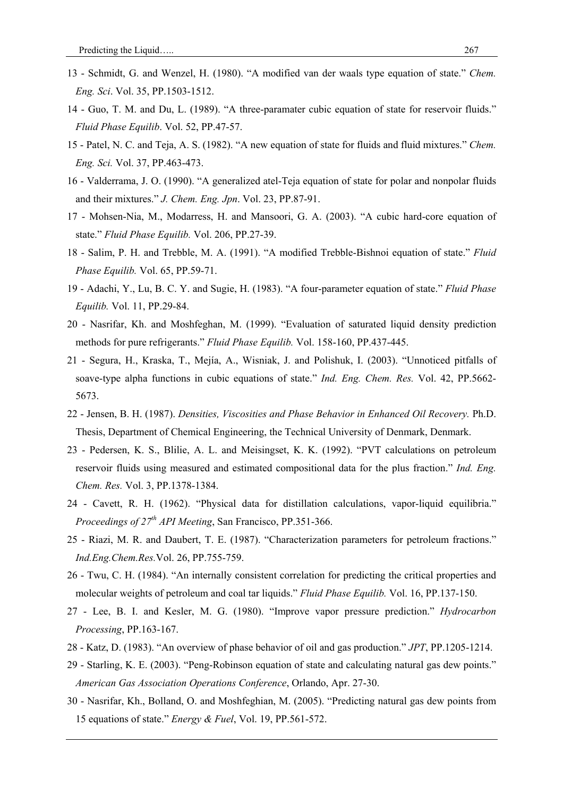- 13 Schmidt, G. and Wenzel, H. (1980). "A modified van der waals type equation of state." *Chem. Eng. Sci*. Vol. 35, PP.1503-1512.
- 14 Guo, T. M. and Du, L. (1989). "A three-paramater cubic equation of state for reservoir fluids." *Fluid Phase Equilib*. Vol. 52, PP.47-57.
- 15 Patel, N. C. and Teja, A. S. (1982). "A new equation of state for fluids and fluid mixtures." *Chem. Eng. Sci.* Vol. 37, PP.463-473.
- 16 Valderrama, J. O. (1990). "A generalized atel-Teja equation of state for polar and nonpolar fluids and their mixtures." *J. Chem. Eng. Jpn*. Vol. 23, PP.87-91.
- 17 Mohsen-Nia, M., Modarress, H. and Mansoori, G. A. (2003). "A cubic hard-core equation of state." *Fluid Phase Equilib.* Vol. 206, PP.27-39.
- 18 Salim, P. H. and Trebble, M. A. (1991). "A modified Trebble-Bishnoi equation of state." *Fluid Phase Equilib.* Vol. 65, PP.59-71.
- 19 Adachi, Y., Lu, B. C. Y. and Sugie, H. (1983). "A four-parameter equation of state." *Fluid Phase Equilib.* Vol. 11, PP.29-84.
- 20 Nasrifar, Kh. and Moshfeghan, M. (1999). "Evaluation of saturated liquid density prediction methods for pure refrigerants." *Fluid Phase Equilib.* Vol. 158-160, PP.437-445.
- 21 Segura, H., Kraska, T., Mejía, A., Wisniak, J. and Polishuk, I. (2003). "Unnoticed pitfalls of soave-type alpha functions in cubic equations of state." *Ind. Eng. Chem. Res.* Vol. 42, PP.5662- 5673.
- 22 Jensen, B. H. (1987). *Densities, Viscosities and Phase Behavior in Enhanced Oil Recovery.* Ph.D. Thesis, Department of Chemical Engineering, the Technical University of Denmark, Denmark.
- 23 Pedersen, K. S., Blilie, A. L. and Meisingset, K. K. (1992). "PVT calculations on petroleum reservoir fluids using measured and estimated compositional data for the plus fraction." *Ind. Eng. Chem. Res.* Vol. 3, PP.1378-1384.
- 24 Cavett, R. H. (1962). "Physical data for distillation calculations, vapor-liquid equilibria." *Proceedings of 27th API Meeting*, San Francisco, PP.351-366.
- 25 Riazi, M. R. and Daubert, T. E. (1987). "Characterization parameters for petroleum fractions." *Ind.Eng.Chem.Res.*Vol. 26, PP.755-759.
- 26 Twu, C. H. (1984). "An internally consistent correlation for predicting the critical properties and molecular weights of petroleum and coal tar liquids." *Fluid Phase Equilib.* Vol. 16, PP.137-150.
- 27 Lee, B. I. and Kesler, M. G. (1980). "Improve vapor pressure prediction." *Hydrocarbon Processing*, PP.163-167.
- 28 Katz, D. (1983). "An overview of phase behavior of oil and gas production." *JPT*, PP.1205-1214.
- 29 Starling, K. E. (2003). "Peng-Robinson equation of state and calculating natural gas dew points." *American Gas Association Operations Conference*, Orlando, Apr. 27-30.
- 30 Nasrifar, Kh., Bolland, O. and Moshfeghian, M. (2005). "Predicting natural gas dew points from 15 equations of state." *Energy & Fuel*, Vol. 19, PP.561-572.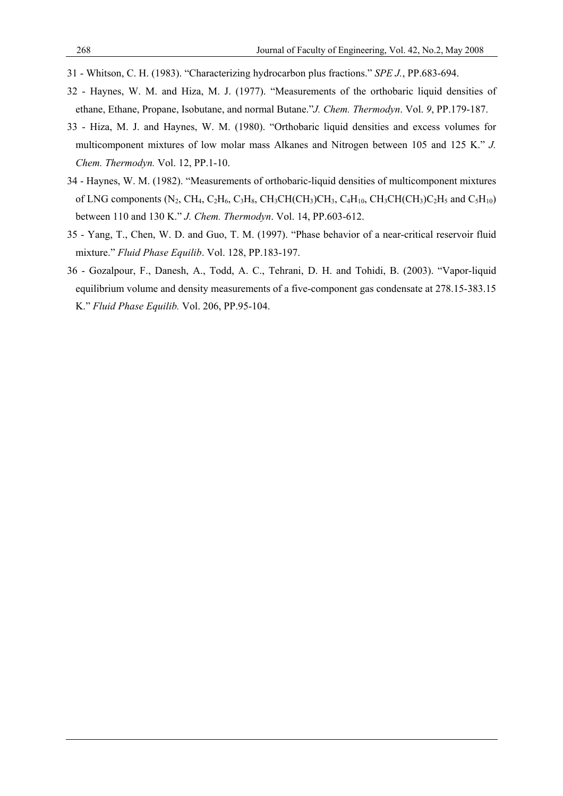- 31 Whitson, C. H. (1983). "Characterizing hydrocarbon plus fractions." *SPE J.*, PP.683-694.
- 32 Haynes, W. M. and Hiza, M. J. (1977). "Measurements of the orthobaric liquid densities of ethane, Ethane, Propane, Isobutane, and normal Butane."*J. Chem. Thermodyn*. Vol. *9*, PP.179-187.
- 33 Hiza, M. J. and Haynes, W. M. (1980). "Orthobaric liquid densities and excess volumes for multicomponent mixtures of low molar mass Alkanes and Nitrogen between 105 and 125 K." *J. Chem. Thermodyn.* Vol. 12, PP.1-10.
- 34 Haynes, W. M. (1982). "Measurements of orthobaric-liquid densities of multicomponent mixtures of LNG components (N<sub>2</sub>, CH<sub>4</sub>, C<sub>2</sub>H<sub>6</sub>, C<sub>3</sub>H<sub>8</sub>, CH<sub>3</sub>CH(CH<sub>3</sub>)CH<sub>3</sub>, C<sub>4</sub>H<sub>10</sub>, CH<sub>3</sub>CH(CH<sub>3</sub>)C<sub>2</sub>H<sub>5</sub> and C<sub>5</sub>H<sub>10</sub>) between 110 and 130 K." *J. Chem. Thermodyn*. Vol. 14, PP.603-612.
- 35 Yang, T., Chen, W. D. and Guo, T. M. (1997). "Phase behavior of a near-critical reservoir fluid mixture." *Fluid Phase Equilib*. Vol. 128, PP.183-197.
- 36 Gozalpour, F., Danesh, A., Todd, A. C., Tehrani, D. H. and Tohidi, B. (2003). "Vapor-liquid equilibrium volume and density measurements of a five-component gas condensate at 278.15-383.15 K." *Fluid Phase Equilib.* Vol. 206, PP.95-104.